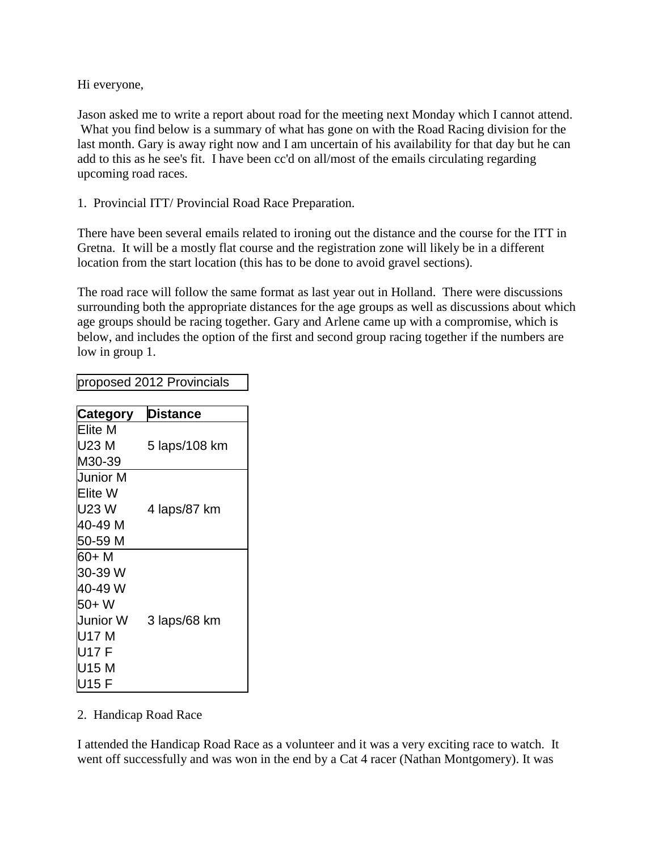Hi everyone,

Jason asked me to write a report about road for the meeting next Monday which I cannot attend. What you find below is a summary of what has gone on with the Road Racing division for the last month. Gary is away right now and I am uncertain of his availability for that day but he can add to this as he see's fit. I have been cc'd on all/most of the emails circulating regarding upcoming road races.

1. Provincial ITT/ Provincial Road Race Preparation.

There have been several emails related to ironing out the distance and the course for the ITT in Gretna. It will be a mostly flat course and the registration zone will likely be in a different location from the start location (this has to be done to avoid gravel sections).

The road race will follow the same format as last year out in Holland. There were discussions surrounding both the appropriate distances for the age groups as well as discussions about which age groups should be racing together. Gary and Arlene came up with a compromise, which is below, and includes the option of the first and second group racing together if the numbers are low in group 1.

| <b>Category</b> | <b>Distance</b> |
|-----------------|-----------------|
| Elite M         |                 |
| U23 M           | 5 laps/108 km   |
| M30-39          |                 |
| Junior M        |                 |
| Elite W         |                 |
| U23 W           | 4 laps/87 km    |
| 40-49 M         |                 |
| 50-59 M         |                 |
| 60+ M           |                 |
| 30-39 W         |                 |
| 40-49 W         |                 |
| 50+W            |                 |
| Junior W        | 3 laps/68 km    |
| U17 M           |                 |
| U17 F           |                 |
| U15 M           |                 |
| U15 F           |                 |

proposed 2012 Provincials

## 2. Handicap Road Race

I attended the Handicap Road Race as a volunteer and it was a very exciting race to watch. It went off successfully and was won in the end by a Cat 4 racer (Nathan Montgomery). It was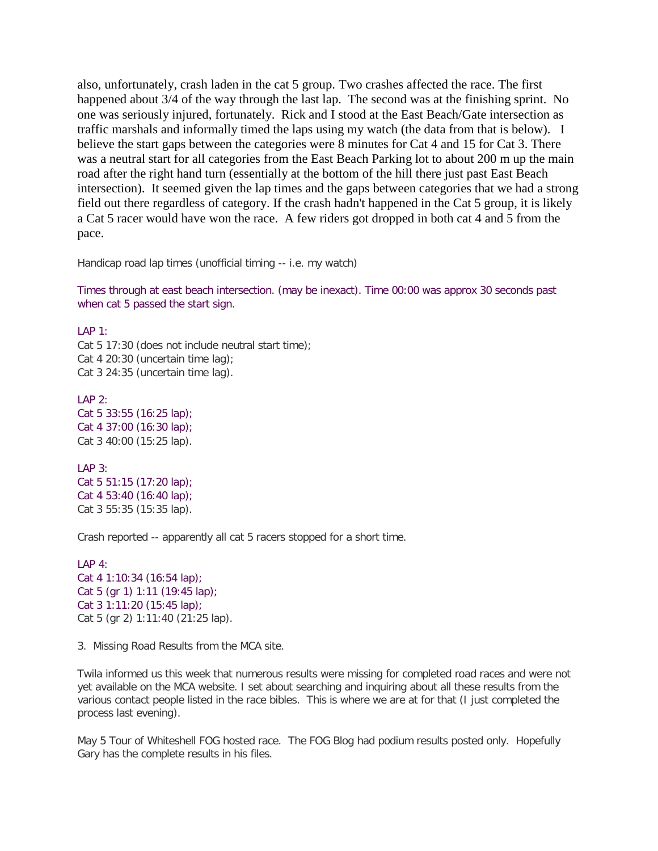also, unfortunately, crash laden in the cat 5 group. Two crashes affected the race. The first happened about 3/4 of the way through the last lap. The second was at the finishing sprint. No one was seriously injured, fortunately. Rick and I stood at the East Beach/Gate intersection as traffic marshals and informally timed the laps using my watch (the data from that is below). I believe the start gaps between the categories were 8 minutes for Cat 4 and 15 for Cat 3. There was a neutral start for all categories from the East Beach Parking lot to about 200 m up the main road after the right hand turn (essentially at the bottom of the hill there just past East Beach intersection). It seemed given the lap times and the gaps between categories that we had a strong field out there regardless of category. If the crash hadn't happened in the Cat 5 group, it is likely a Cat 5 racer would have won the race. A few riders got dropped in both cat 4 and 5 from the pace.

Handicap road lap times (unofficial timing -- i.e. my watch)

Times through at east beach intersection. (may be inexact). Time 00:00 was approx 30 seconds past when cat 5 passed the start sign.

LAP 1:

Cat 5 17:30 (does not include neutral start time); Cat 4 20:30 (uncertain time lag); Cat 3 24:35 (uncertain time lag).

 $IAP$  2: Cat 5 33:55 (16:25 lap); Cat 4 37:00 (16:30 lap); Cat 3 40:00 (15:25 lap).

LAP 3: Cat 5 51:15 (17:20 lap); Cat 4 53:40 (16:40 lap); Cat 3 55:35 (15:35 lap).

Crash reported -- apparently all cat 5 racers stopped for a short time.

```
IAP 4:Cat 4 1:10:34 (16:54 lap);
Cat 5 (gr 1) 1:11 (19:45 lap);
Cat 3 1:11:20 (15:45 lap);
Cat 5 (gr 2) 1:11:40 (21:25 lap).
```
3. Missing Road Results from the MCA site.

Twila informed us this week that numerous results were missing for completed road races and were not yet available on the MCA website. I set about searching and inquiring about all these results from the various contact people listed in the race bibles. This is where we are at for that (I just completed the process last evening).

May 5 Tour of Whiteshell FOG hosted race. The FOG Blog had podium results posted only. Hopefully Gary has the complete results in his files.